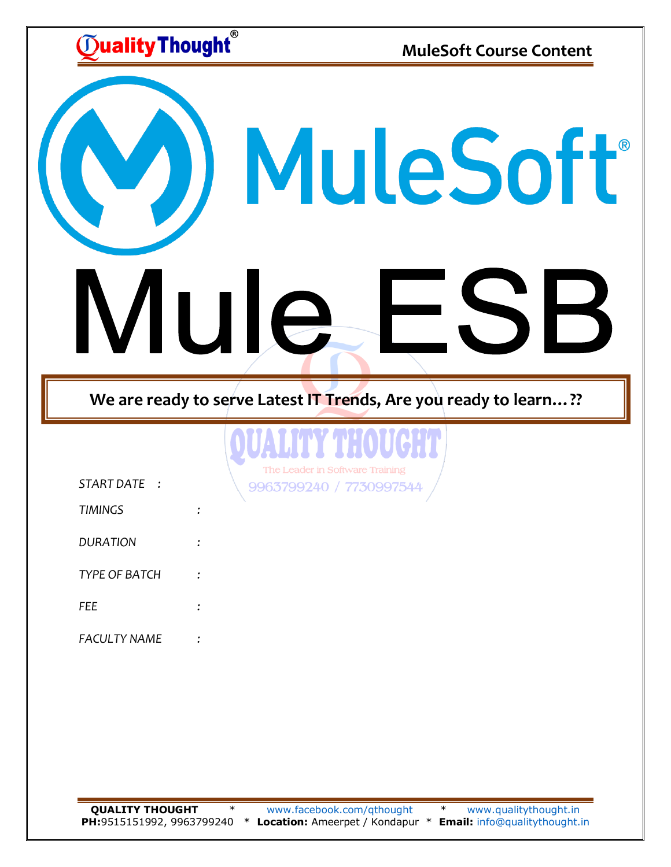$\widetilde{\mathbb{D}}$ ualityThought $\widetilde{\ }$ 

**MuleSoft Course Content**

) MuleSoft<sup>®</sup> Mule, H

**We are ready to serve Latest IT Trends, Are you ready to learn…??**



| START DATE          |  |
|---------------------|--|
| <b>TIMINGS</b>      |  |
| <b>DURATION</b>     |  |
| TYPE OF BATCH       |  |
| FFF                 |  |
| <b>FACULTY NAME</b> |  |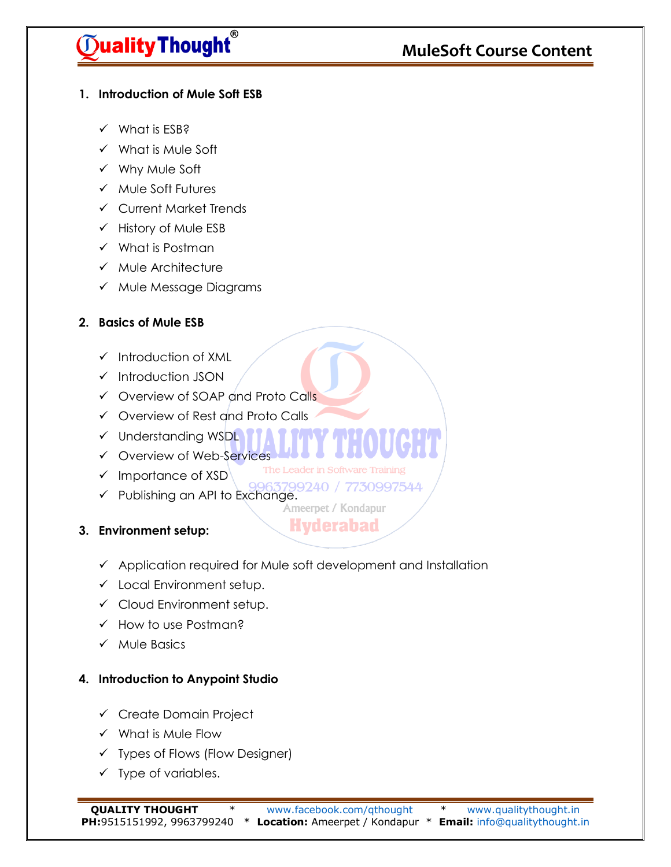# $\widetilde{D}$ ualityThought $\widetilde{D}$

## **MuleSoft Course Content**

#### **1. Introduction of Mule Soft ESB**

- $\checkmark$  What is ESB?
- $\checkmark$  What is Mule Soft
- Why Mule Soft
- $\checkmark$  Mule Soft Futures
- Current Market Trends
- $\checkmark$  History of Mule ESB
- $\checkmark$  What is Postman
- $\times$  Mule Architecture
- $\checkmark$  Mule Message Diagrams

### **2. Basics of Mule ESB**

- $\checkmark$  Introduction of XML
- $\checkmark$  Introduction JSON
- Overview of SOAP and Proto Calls
- Overview of Rest and Proto Calls
- $\checkmark$  Understanding WSDL
- Overview of Web-Services
- $\checkmark$  Importance of XSD
- Publishing an API to Exchange.<br>Publishing an API to Exchange.<br>Ameerpet / Kondapur

**Hyderabad** 

The Leader in Software Training

### **3. Environment setup:**

- $\checkmark$  Application required for Mule soft development and Installation
- $\checkmark$  Local Environment setup.
- $\checkmark$  Cloud Environment setup.
- $\checkmark$  How to use Postman?
- $\checkmark$  Mule Basics

### **4. Introduction to Anypoint Studio**

- $\checkmark$  Create Domain Project
- $\checkmark$  What is Mule Flow
- $\checkmark$  Types of Flows (Flow Designer)
- $\checkmark$  Type of variables.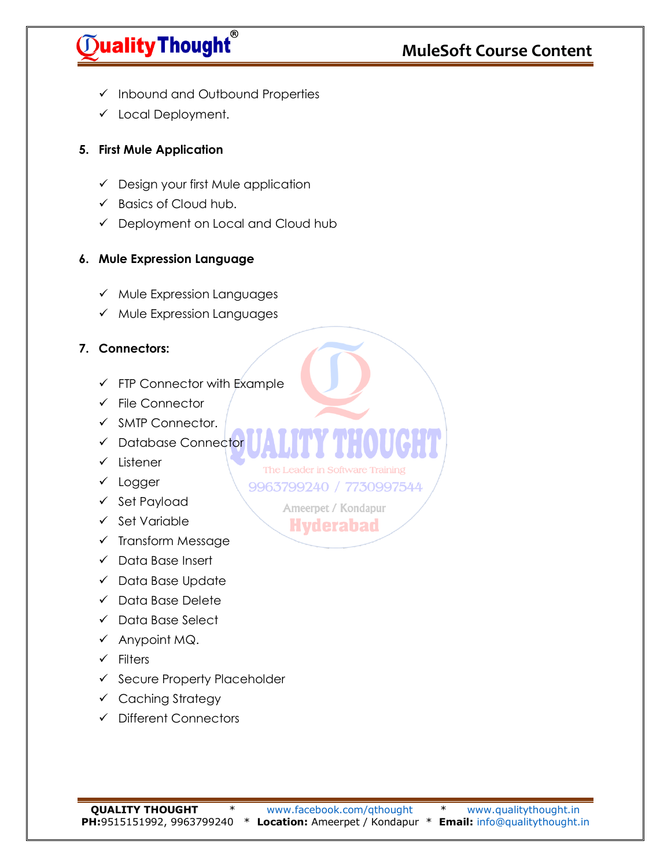# $\widetilde{\mathbb{O}}$ ualityThought $\widetilde{\phantom{a}}$

## **MuleSoft Course Content**

- $\checkmark$  Inbound and Outbound Properties
- $\checkmark$  Local Deployment.

### **5. First Mule Application**

- $\checkmark$  Design your first Mule application
- $\checkmark$  Basics of Cloud hub.
- Deployment on Local and Cloud hub

### **6. Mule Expression Language**

- $\checkmark$  Mule Expression Languages
- $\checkmark$  Mule Expression Languages

### **7. Connectors:**

- $\checkmark$  FTP Connector with Example
- $\checkmark$  File Connector
- $\checkmark$  SMTP Connector.
- $\checkmark$  Database Connector
- $\checkmark$  Listener
- $\checkmark$  Logger
- $\checkmark$  Set Payload
- $\checkmark$  Set Variable
- $\checkmark$  Transform Message
- $\checkmark$  Data Base Insert
- $\checkmark$  Data Base Update
- $\checkmark$  Data Base Delete
- $\checkmark$  Data Base Select
- $\checkmark$  Anypoint MQ.
- $\checkmark$  Filters
- $\checkmark$  Secure Property Placeholder
- $\checkmark$  Caching Strategy
- Different Connectors

**QUALITY THOUGHT** \* [www.facebook.com/qthought](http://www.facebook.com/qthought) \* [www.qualitythought.in](http://www.qualitythought.in/) **PH:**9515151992, 9963799240 \* **Location:** Ameerpet / Kondapur \* **Email:** [info@qualitythought.in](mailto:info@qualitythought.in)

The Leader in Software Training 9963799240 / 7730997544 Ameerpet / Kondapur **Hyderabad**